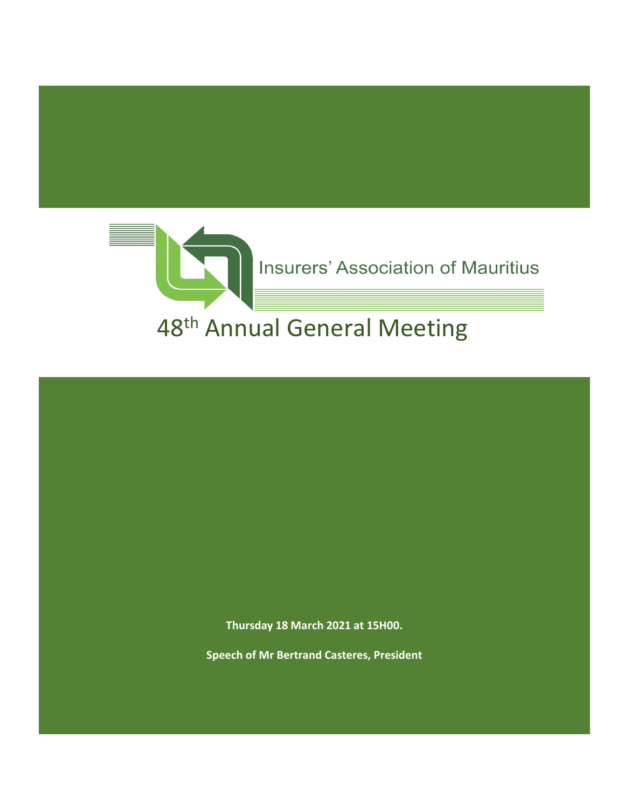

**Thursday 18 March 2021 at 15H00. Speech of Mr Bertrand Casteres, President**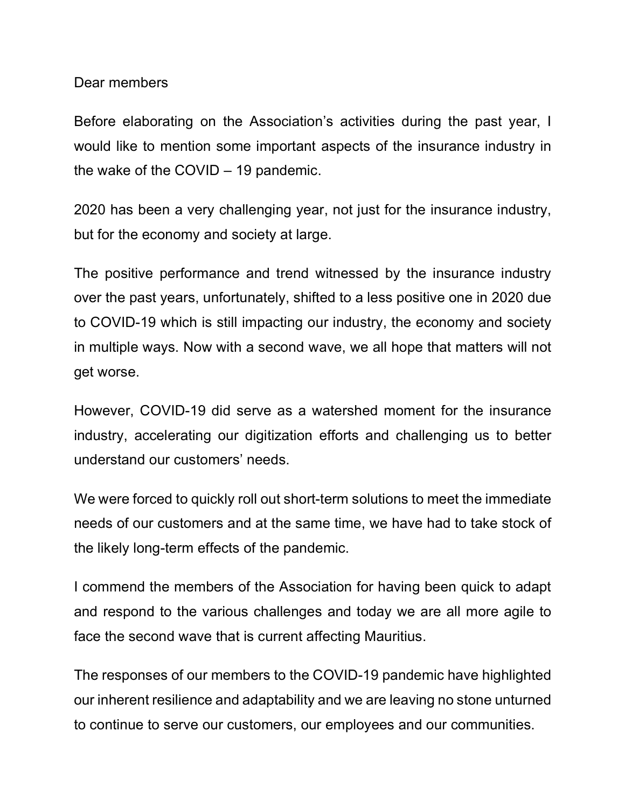Dear members

Before elaborating on the Association's activities during the past year, I would like to mention some important aspects of the insurance industry in the wake of the COVID – 19 pandemic.

2020 has been a very challenging year, not just for the insurance industry, but for the economy and society at large.

The positive performance and trend witnessed by the insurance industry over the past years, unfortunately, shifted to a less positive one in 2020 due to COVID-19 which is still impacting our industry, the economy and society in multiple ways. Now with a second wave, we all hope that matters will not get worse.

However, COVID-19 did serve as a watershed moment for the insurance industry, accelerating our digitization efforts and challenging us to better understand our customers' needs.

We were forced to quickly roll out short-term solutions to meet the immediate needs of our customers and at the same time, we have had to take stock of the likely long-term effects of the pandemic.

I commend the members of the Association for having been quick to adapt and respond to the various challenges and today we are all more agile to face the second wave that is current affecting Mauritius.

The responses of our members to the COVID-19 pandemic have highlighted our inherent resilience and adaptability and we are leaving no stone unturned to continue to serve our customers, our employees and our communities.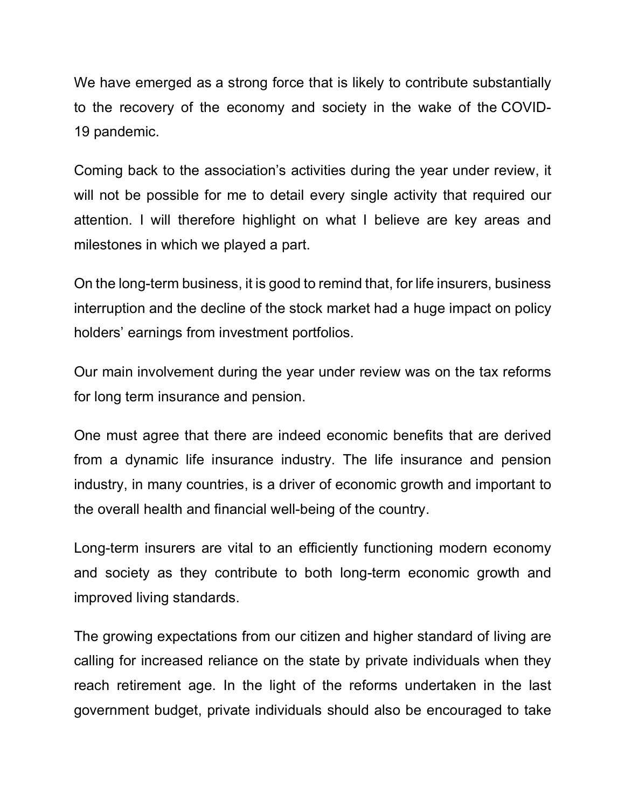We have emerged as a strong force that is likely to contribute substantially to the recovery of the economy and society in the wake of the COVID-19 pandemic.

Coming back to the association's activities during the year under review, it will not be possible for me to detail every single activity that required our attention. I will therefore highlight on what I believe are key areas and milestones in which we played a part.

On the long-term business, it is good to remind that, for life insurers, business interruption and the decline of the stock market had a huge impact on policy holders' earnings from investment portfolios.

Our main involvement during the year under review was on the tax reforms for long term insurance and pension.

One must agree that there are indeed economic benefits that are derived from a dynamic life insurance industry. The life insurance and pension industry, in many countries, is a driver of economic growth and important to the overall health and financial well-being of the country.

Long-term insurers are vital to an efficiently functioning modern economy and society as they contribute to both long-term economic growth and improved living standards.

The growing expectations from our citizen and higher standard of living are calling for increased reliance on the state by private individuals when they reach retirement age. In the light of the reforms undertaken in the last government budget, private individuals should also be encouraged to take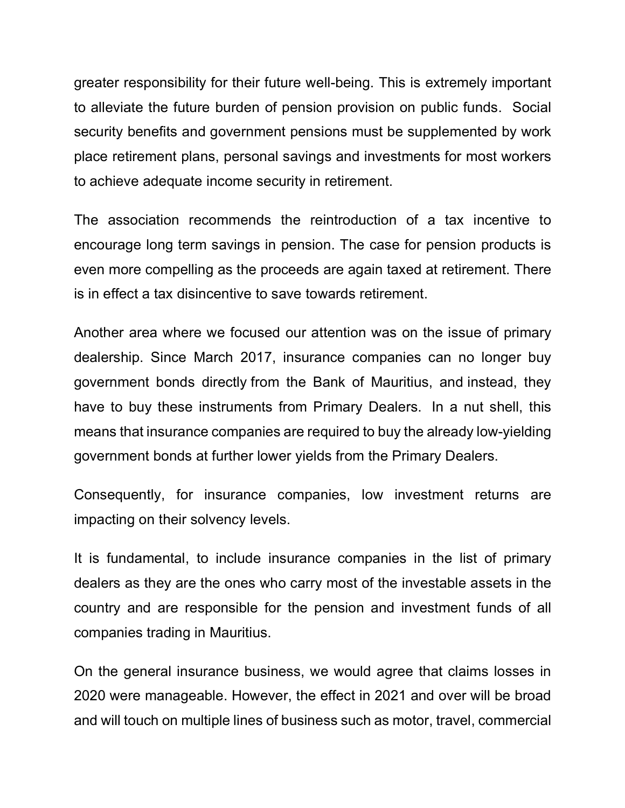greater responsibility for their future well-being. This is extremely important to alleviate the future burden of pension provision on public funds. Social security benefits and government pensions must be supplemented by work place retirement plans, personal savings and investments for most workers to achieve adequate income security in retirement.

The association recommends the reintroduction of a tax incentive to encourage long term savings in pension. The case for pension products is even more compelling as the proceeds are again taxed at retirement. There is in effect a tax disincentive to save towards retirement.

Another area where we focused our attention was on the issue of primary dealership. Since March 2017, insurance companies can no longer buy government bonds directly from the Bank of Mauritius, and instead, they have to buy these instruments from Primary Dealers. In a nut shell, this means that insurance companies are required to buy the already low-yielding government bonds at further lower yields from the Primary Dealers.

Consequently, for insurance companies, low investment returns are impacting on their solvency levels.

It is fundamental, to include insurance companies in the list of primary dealers as they are the ones who carry most of the investable assets in the country and are responsible for the pension and investment funds of all companies trading in Mauritius.

On the general insurance business, we would agree that claims losses in 2020 were manageable. However, the effect in 2021 and over will be broad and will touch on multiple lines of business such as motor, travel, commercial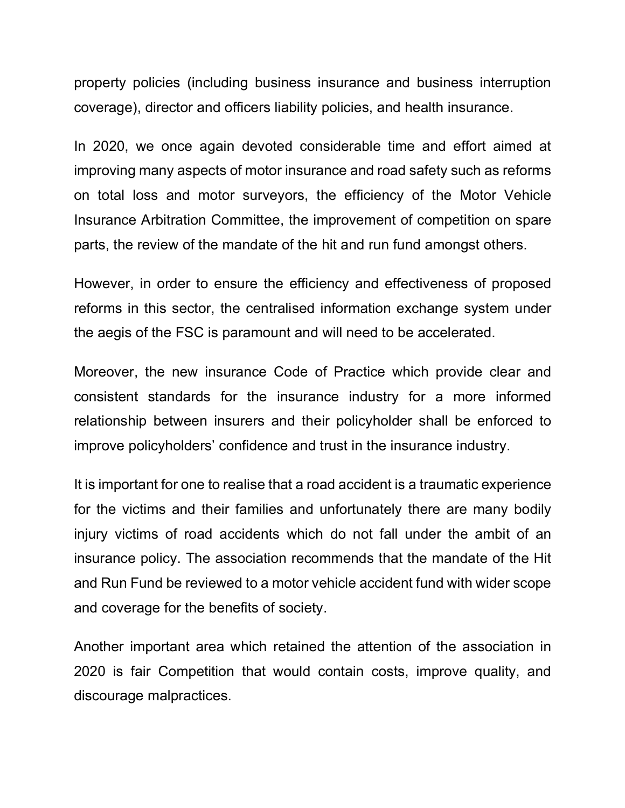property policies (including business insurance and business interruption coverage), director and officers liability policies, and health insurance.

In 2020, we once again devoted considerable time and effort aimed at improving many aspects of motor insurance and road safety such as reforms on total loss and motor surveyors, the efficiency of the Motor Vehicle Insurance Arbitration Committee, the improvement of competition on spare parts, the review of the mandate of the hit and run fund amongst others.

However, in order to ensure the efficiency and effectiveness of proposed reforms in this sector, the centralised information exchange system under the aegis of the FSC is paramount and will need to be accelerated.

Moreover, the new insurance Code of Practice which provide clear and consistent standards for the insurance industry for a more informed relationship between insurers and their policyholder shall be enforced to improve policyholders' confidence and trust in the insurance industry.

It is important for one to realise that a road accident is a traumatic experience for the victims and their families and unfortunately there are many bodily injury victims of road accidents which do not fall under the ambit of an insurance policy. The association recommends that the mandate of the Hit and Run Fund be reviewed to a motor vehicle accident fund with wider scope and coverage for the benefits of society.

Another important area which retained the attention of the association in 2020 is fair Competition that would contain costs, improve quality, and discourage malpractices.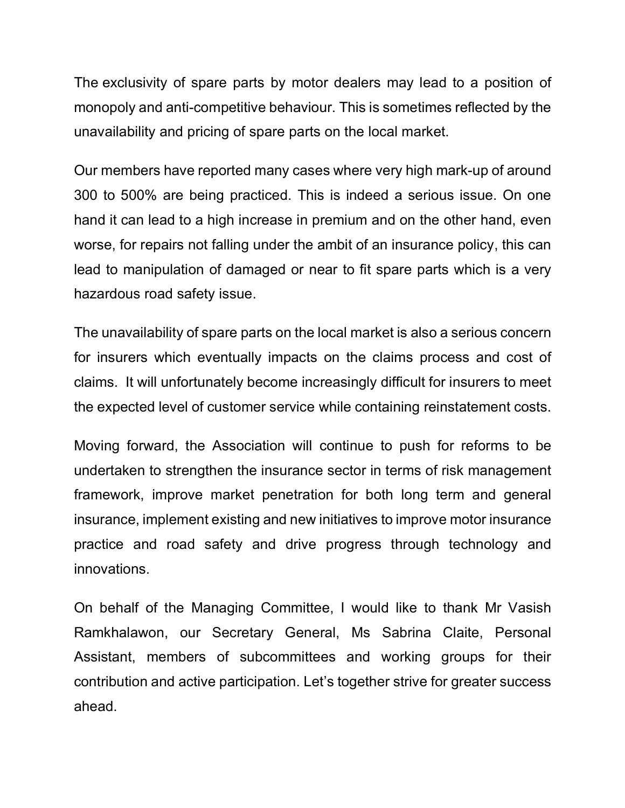The exclusivity of spare parts by motor dealers may lead to a position of monopoly and anti-competitive behaviour. This is sometimes reflected by the unavailability and pricing of spare parts on the local market.

Our members have reported many cases where very high mark-up of around 300 to 500% are being practiced. This is indeed a serious issue. On one hand it can lead to a high increase in premium and on the other hand, even worse, for repairs not falling under the ambit of an insurance policy, this can lead to manipulation of damaged or near to fit spare parts which is a very hazardous road safety issue.

The unavailability of spare parts on the local market is also a serious concern for insurers which eventually impacts on the claims process and cost of claims. It will unfortunately become increasingly difficult for insurers to meet the expected level of customer service while containing reinstatement costs.

Moving forward, the Association will continue to push for reforms to be undertaken to strengthen the insurance sector in terms of risk management framework, improve market penetration for both long term and general insurance, implement existing and new initiatives to improve motor insurance practice and road safety and drive progress through technology and innovations.

On behalf of the Managing Committee, I would like to thank Mr Vasish Ramkhalawon, our Secretary General, Ms Sabrina Claite, Personal Assistant, members of subcommittees and working groups for their contribution and active participation. Let's together strive for greater success ahead.